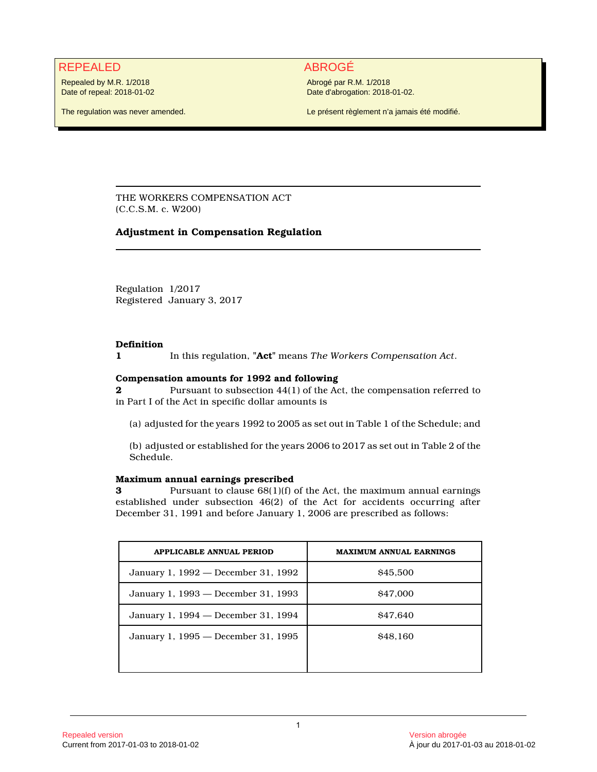## REPEALED ABROGÉ

Repealed by M.R. 1/2018 Date of repeal: 2018-01-02

The regulation was never amended.

Abrogé par R.M. 1/2018 Date d'abrogation: 2018-01-02.

Le présent règlement n'a jamais été modifié.

THE WORKERS COMPENSATION ACT (C.C.S.M. c. W200)

## **Adjustment in Compensation Regulation**

Regulation 1/2017 Registered January 3, 2017

## **Definition**

**1** In this regulation, **"Act"** means *The Workers Compensation Act*.

## **Compensation amounts for 1992 and following**

**2** Pursuant to subsection 44(1) of the Act, the compensation referred to in Part I of the Act in specific dollar amounts is

(a) adjusted for the years 1992 to 2005 as set out in Table 1 of the Schedule; and

(b) adjusted or established for the years 2006 to 2017 as set out in Table 2 of the Schedule.

## **Maximum annual earnings prescribed**

**3** Pursuant to clause  $68(1)(f)$  of the Act, the maximum annual earnings established under subsection 46(2) of the Act for accidents occurring after December 31, 1991 and before January 1, 2006 are prescribed as follows:

| <b>APPLICABLE ANNUAL PERIOD</b>     | <b>MAXIMUM ANNUAL EARNINGS</b> |
|-------------------------------------|--------------------------------|
| January 1, 1992 — December 31, 1992 | \$45,500                       |
| January 1, 1993 — December 31, 1993 | \$47,000                       |
| January 1, 1994 - December 31, 1994 | \$47.640                       |
| January 1, 1995 — December 31, 1995 | \$48.160                       |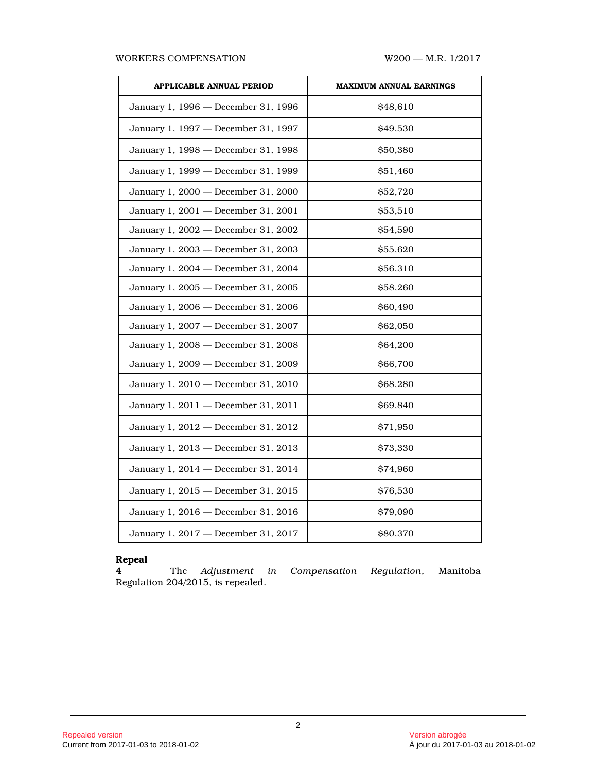### WORKERS COMPENSATION W200 - M.R. 1/2017

| <b>APPLICABLE ANNUAL PERIOD</b>     | <b>MAXIMUM ANNUAL EARNINGS</b> |
|-------------------------------------|--------------------------------|
| January 1, 1996 - December 31, 1996 | \$48,610                       |
| January 1, 1997 - December 31, 1997 | \$49,530                       |
| January 1, 1998 - December 31, 1998 | \$50,380                       |
| January 1, 1999 - December 31, 1999 | \$51,460                       |
| January 1, 2000 - December 31, 2000 | \$52,720                       |
| January 1, 2001 - December 31, 2001 | \$53,510                       |
| January 1, 2002 - December 31, 2002 | \$54,590                       |
| January 1, 2003 - December 31, 2003 | \$55,620                       |
| January 1, 2004 - December 31, 2004 | \$56,310                       |
| January 1, 2005 - December 31, 2005 | \$58,260                       |
| January 1, 2006 - December 31, 2006 | \$60,490                       |
| January 1, 2007 - December 31, 2007 | \$62,050                       |
| January 1, 2008 - December 31, 2008 | \$64,200                       |
| January 1, 2009 - December 31, 2009 | \$66,700                       |
| January 1, 2010 - December 31, 2010 | \$68,280                       |
| January 1, 2011 - December 31, 2011 | \$69,840                       |
| January 1, 2012 - December 31, 2012 | \$71,950                       |
| January 1, 2013 - December 31, 2013 | \$73,330                       |
| January 1, 2014 - December 31, 2014 | \$74,960                       |
| January 1, 2015 - December 31, 2015 | \$76,530                       |
| January 1, 2016 - December 31, 2016 | \$79,090                       |
| January 1, 2017 - December 31, 2017 | \$80,370                       |

# **Repeal**

**4** The *Adjustment in Compensation Regulation*, Manitoba Regulation 204/2015, is repealed.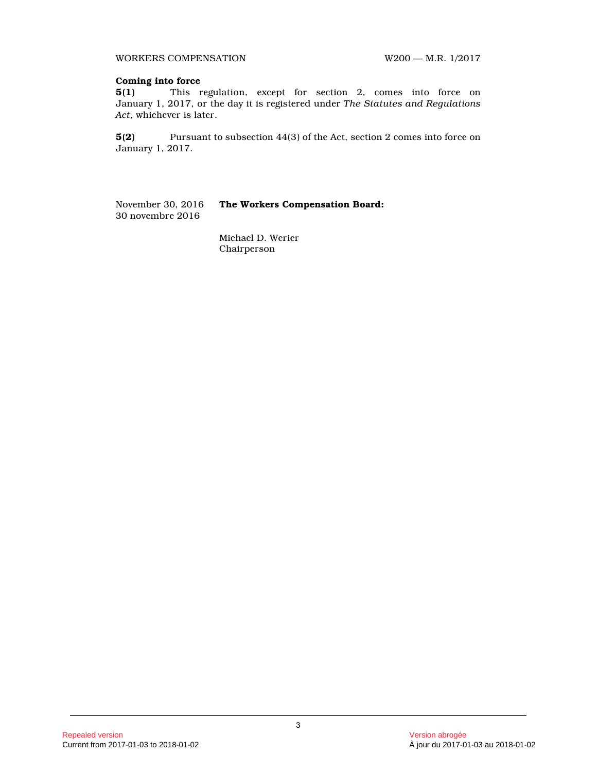WORKERS COMPENSATION W200 - M.R. 1/2017

### **Coming into force**

**5(1)** This regulation, except for section 2, comes into force on January 1, 2017, or the day it is registered under *The Statutes and Regulations Act*, whichever is later.

**5(2)** Pursuant to subsection 44(3) of the Act, section 2 comes into force on January 1, 2017.

November 30, 2016 **The Workers Compensation Board:** 30 novembre 2016

> Michael D. Werier Chairperson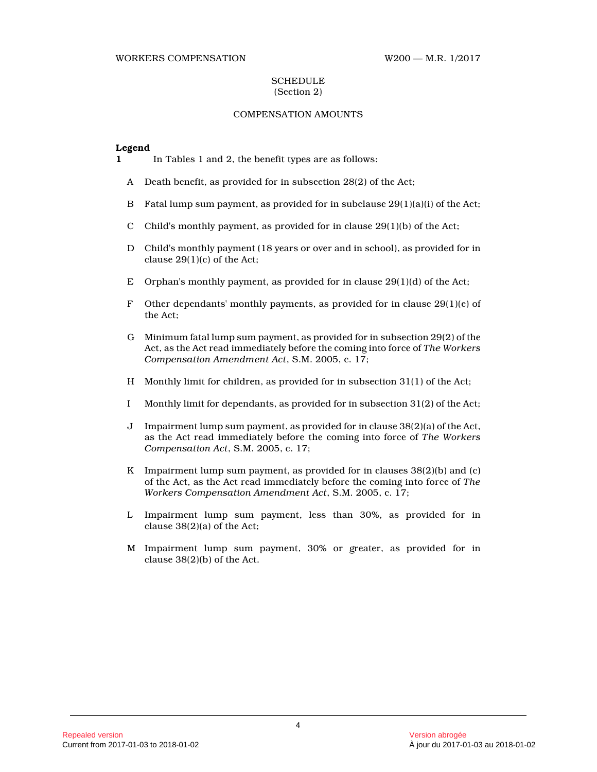#### WORKERS COMPENSATION W200 — M.R. 1/2017

### **SCHEDULE** (Section 2)

## COMPENSATION AMOUNTS

### **Legend**

**1** In Tables 1 and 2, the benefit types are as follows:

- A Death benefit, as provided for in subsection 28(2) of the Act;
- B Fatal lump sum payment, as provided for in subclause 29(1)(a)(i) of the Act;
- C Child's monthly payment, as provided for in clause 29(1)(b) of the Act;
- D Child's monthly payment (18 years or over and in school), as provided for in clause 29(1)(c) of the Act;
- E Orphan's monthly payment, as provided for in clause 29(1)(d) of the Act;
- F Other dependants' monthly payments, as provided for in clause  $29(1)(e)$  of the Act;
- G Minimum fatal lump sum payment, as provided for in subsection 29(2) of the Act, as the Act read immediately before the coming into force of *The Workers Compensation Amendment Act*, S.M. 2005, c. 17;
- H Monthly limit for children, as provided for in subsection 31(1) of the Act;
- I Monthly limit for dependants, as provided for in subsection 31(2) of the Act;
- J Impairment lump sum payment, as provided for in clause 38(2)(a) of the Act, as the Act read immediately before the coming into force of *The Workers Compensation Act*, S.M. 2005, c. 17;
- K Impairment lump sum payment, as provided for in clauses  $38(2)(b)$  and (c) of the Act, as the Act read immediately before the coming into force of *The Workers Compensation Amendment Act*, S.M. 2005, c. 17;
- L Impairment lump sum payment, less than 30%, as provided for in clause 38(2)(a) of the Act;
- M Impairment lump sum payment, 30% or greater, as provided for in clause 38(2)(b) of the Act.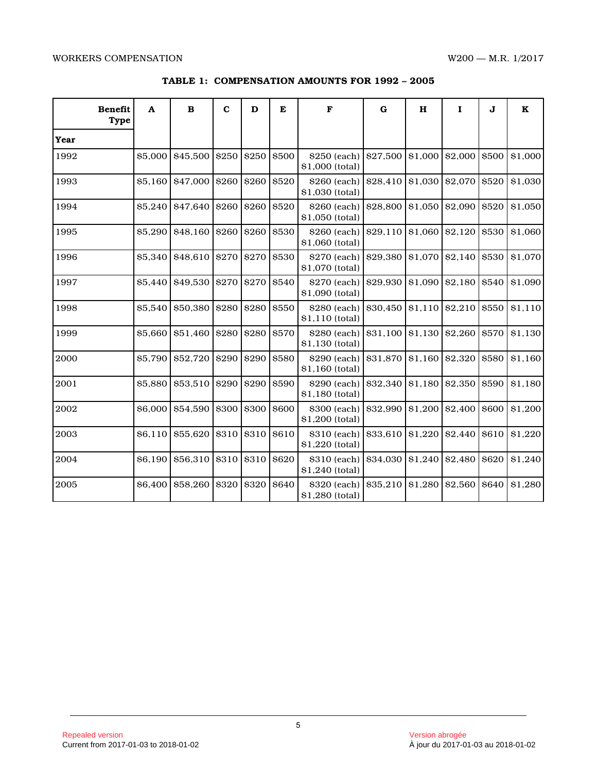| <b>Benefit</b><br><b>Type</b> | $\Lambda$ | $\, {\bf B}$   | C     | D           | E            | F                               | G        | н       | $\mathbf{I}$  | J            | $\bf K$ |
|-------------------------------|-----------|----------------|-------|-------------|--------------|---------------------------------|----------|---------|---------------|--------------|---------|
| Year                          |           |                |       |             |              |                                 |          |         |               |              |         |
| 1992                          | \$5,000   | \$45,500       | \$250 | \$250       | \$500        | \$250 (each)<br>\$1,000 (total) | \$27,500 | \$1,000 | \$2,000       | \$500        | \$1,000 |
| 1993                          | \$5,160   | \$47,000       | \$260 | \$260       | \$520        | \$260 (each)<br>\$1,030 (total) | \$28,410 | \$1,030 | \$2,070       | \$520        | \$1,030 |
| 1994                          | \$5,240   | \$47,640       | \$260 | \$260       | \$520        | \$260 (each)<br>\$1,050 (total) | \$28,800 | \$1,050 | \$2,090       | \$520        | \$1,050 |
| 1995                          | \$5,290   | \$48,160       | \$260 | \$260       | \$530        | \$260 (each)<br>\$1,060 (total) | \$29,110 | \$1,060 | \$2,120       | \$530        | \$1,060 |
| 1996                          | \$5,340   | \$48,610       | \$270 | \$270       | \$530        | \$270 (each)<br>\$1,070 (total) | \$29,380 | \$1,070 | \$2,140       | \$530        | \$1,070 |
| 1997                          | \$5,440   | \$49,530 \$270 |       | <b>S270</b> | <b>\$540</b> | \$270 (each)<br>\$1,090 (total) | \$29,930 | \$1,090 | \$2,180 \$540 |              | \$1,090 |
| 1998                          | \$5,540   | \$50,380       | \$280 | \$280       | \$550        | \$280 (each)<br>\$1,110 (total) | \$30,450 | \$1,110 | \$2,210       | \$550        | \$1,110 |
| 1999                          | \$5,660   | \$51,460       | \$280 | \$280       | \$570        | \$280 (each)<br>\$1,130 (total) | \$31,100 | \$1,130 | \$2,260       | \$570        | \$1,130 |
| 2000                          | \$5,790   | \$52,720       | \$290 | <b>S290</b> | <b>\$580</b> | \$290 (each)<br>\$1,160 (total) | \$31,870 | \$1,160 | \$2,320       | <b>\$580</b> | \$1,160 |
| 2001                          | \$5,880   | \$53,510       | \$290 | \$290       | \$590        | \$290 (each)<br>\$1,180 (total) | \$32,340 | \$1,180 | \$2,350       | \$590        | \$1,180 |
| 2002                          | \$6,000   | \$54,590       | \$300 | \$300       | \$600        | \$300 (each)<br>\$1,200 (total) | \$32,990 | \$1,200 | \$2,400       | \$600        | \$1,200 |
| 2003                          | \$6,110   | \$55,620       | \$310 | \$310       | \$610        | \$310 (each)<br>\$1,220 (total) | \$33,610 | \$1,220 | \$2,440       | \$610        | \$1,220 |
| 2004                          | \$6,190   | \$56,310       | \$310 | \$310       | \$620        | \$310 (each)<br>\$1,240 (total) | \$34,030 | \$1,240 | \$2,480       | \$620        | \$1,240 |
| 2005                          | \$6,400   | \$58,260       | \$320 | \$320       | \$640        | \$320 (each)<br>\$1,280 (total) | \$35,210 | \$1,280 | \$2,560       | \$640        | \$1,280 |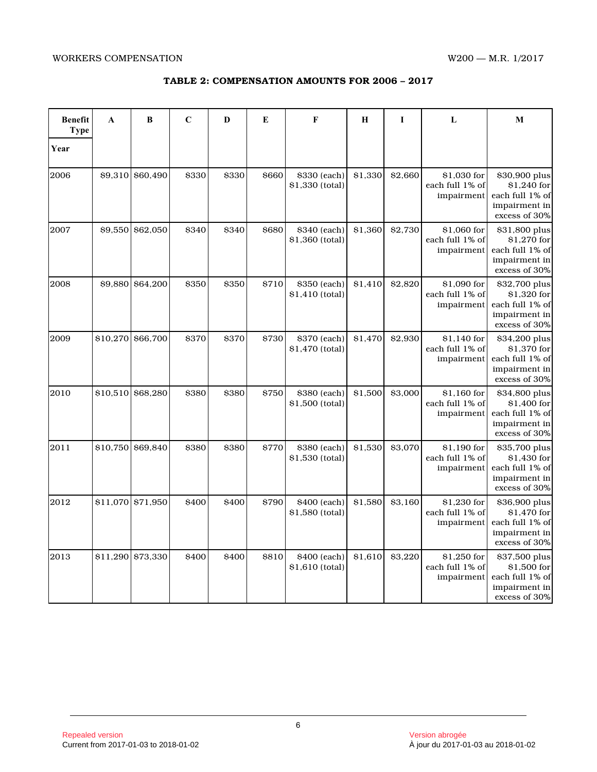| TABLE 2: COMPENSATION AMOUNTS FOR 2006 - 2017 |  |  |
|-----------------------------------------------|--|--|
|-----------------------------------------------|--|--|

| <b>Benefit</b><br><b>Type</b> | A        | B        | $\mathbf C$ | D     | E     | F                               | H       | I       | L                                            | M                                                                                 |
|-------------------------------|----------|----------|-------------|-------|-------|---------------------------------|---------|---------|----------------------------------------------|-----------------------------------------------------------------------------------|
| Year                          |          |          |             |       |       |                                 |         |         |                                              |                                                                                   |
| 2006                          | \$9,310  | \$60,490 | \$330       | \$330 | \$660 | \$330 (each)<br>\$1,330 (total) | \$1,330 | \$2,660 | \$1,030 for<br>each full 1% of<br>impairment | \$30,900 plus<br>\$1,240 for<br>each full 1% of<br>impairment in<br>excess of 30% |
| 2007                          | \$9,550  | \$62,050 | \$340       | \$340 | \$680 | \$340 (each)<br>\$1,360 (total) | \$1,360 | \$2,730 | \$1,060 for<br>each full 1% of<br>impairment | \$31,800 plus<br>\$1,270 for<br>each full 1% of<br>impairment in<br>excess of 30% |
| 2008                          | \$9,880  | \$64,200 | \$350       | \$350 | \$710 | \$350 (each)<br>\$1,410 (total) | \$1,410 | \$2,820 | \$1,090 for<br>each full 1% of<br>impairment | \$32,700 plus<br>\$1,320 for<br>each full 1% of<br>impairment in<br>excess of 30% |
| 2009                          | \$10,270 | \$66,700 | \$370       | \$370 | \$730 | \$370 (each)<br>\$1,470 (total) | \$1,470 | \$2,930 | \$1,140 for<br>each full 1% of<br>impairment | \$34,200 plus<br>\$1,370 for<br>each full 1% of<br>impairment in<br>excess of 30% |
| 2010                          | \$10,510 | \$68,280 | \$380       | \$380 | \$750 | \$380 (each)<br>\$1,500 (total) | \$1,500 | \$3,000 | \$1,160 for<br>each full 1% of<br>impairment | \$34,800 plus<br>\$1,400 for<br>each full 1% of<br>impairment in<br>excess of 30% |
| 2011                          | \$10,750 | \$69.840 | \$380       | \$380 | \$770 | \$380 (each)<br>\$1,530 (total) | \$1,530 | \$3,070 | \$1,190 for<br>each full 1% of<br>impairment | \$35,700 plus<br>\$1,430 for<br>each full 1% of<br>impairment in<br>excess of 30% |
| 2012                          | \$11,070 | \$71,950 | \$400       | \$400 | \$790 | \$400 (each)<br>\$1,580 (total) | \$1,580 | \$3,160 | \$1,230 for<br>each full 1% of<br>impairment | \$36,900 plus<br>\$1,470 for<br>each full 1% of<br>impairment in<br>excess of 30% |
| 2013                          | \$11,290 | \$73,330 | \$400       | \$400 | \$810 | \$400 (each)<br>\$1,610 (total) | \$1,610 | \$3,220 | \$1,250 for<br>each full 1% of<br>impairment | \$37,500 plus<br>\$1,500 for<br>each full 1% of<br>impairment in<br>excess of 30% |